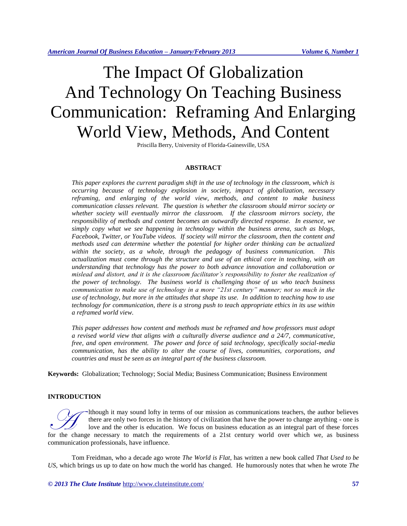# The Impact Of Globalization And Technology On Teaching Business Communication: Reframing And Enlarging World View, Methods, And Content

Priscilla Berry, University of Florida-Gainesville, USA

## **ABSTRACT**

*This paper explores the current paradigm shift in the use of technology in the classroom, which is occurring because of technology explosion in society, impact of globalization, necessary reframing, and enlarging of the world view, methods, and content to make business communication classes relevant. The question is whether the classroom should mirror society or whether society will eventually mirror the classroom. If the classroom mirrors society, the responsibility of methods and content becomes an outwardly directed response. In essence, we simply copy what we see happening in technology within the business arena, such as blogs, Facebook, Twitter, or YouTube videos. If society will mirror the classroom, then the content and methods used can determine whether the potential for higher order thinking can be actualized within the society, as a whole, through the pedagogy of business communication. This actualization must come through the structure and use of an ethical core in teaching, with an understanding that technology has the power to both advance innovation and collaboration or mislead and distort, and it is the classroom facilitator's responsibility to foster the realization of the power of technology. The business world is challenging those of us who teach business communication to make use of technology in a more "21st century" manner; not so much in the use of technology, but more in the attitudes that shape its use. In addition to teaching how to use technology for communication, there is a strong push to teach appropriate ethics in its use within a reframed world view.*

*This paper addresses how content and methods must be reframed and how professors must adopt a revised world view that aligns with a culturally diverse audience and a 24/7, communicative, free, and open environment. The power and force of said technology, specifically social-media communication, has the ability to alter the course of lives, communities, corporations, and countries and must be seen as an integral part of the business classroom.*

**Keywords:** Globalization; Technology; Social Media; Business Communication; Business Environment

## **INTRODUCTION**

lthough it may sound lofty in terms of our mission as communications teachers, the author believes there are only two forces in the history of civilization that have the power to change anything - one is love and the other is education. We focus on business education as an integral part of these forces for the change in the change in the history of civilization that have the power to change anything - one is<br>love and the other is education. We focus on business education as an integral part of these forces<br>for the change communication professionals, have influence.

Tom Freidman, who a decade ago wrote *The World is Flat*, has written a new book called *That Used to be US*, which brings us up to date on how much the world has changed. He humorously notes that when he wrote *The* 

*© 2013 The Clute Institute* http://www.cluteinstitute.com/ **57**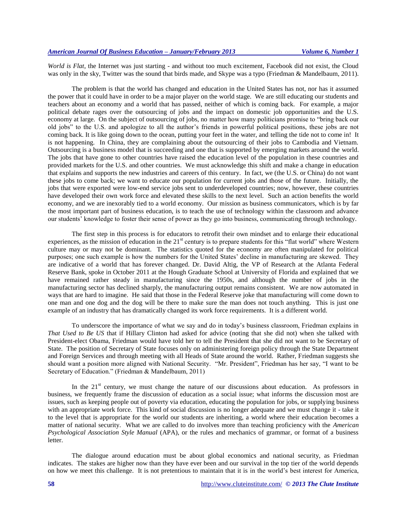*World is Flat*, the Internet was just starting - and without too much excitement, Facebook did not exist, the Cloud was only in the sky, Twitter was the sound that birds made, and Skype was a typo (Friedman & Mandelbaum, 2011).

The problem is that the world has changed and education in the United States has not, nor has it assumed the power that it could have in order to be a major player on the world stage. We are still educating our students and teachers about an economy and a world that has passed, neither of which is coming back. For example, a major political debate rages over the outsourcing of jobs and the impact on domestic job opportunities and the U.S. economy at large. On the subject of outsourcing of jobs, no matter how many politicians promise to "bring back our old jobs" to the U.S. and apologize to all the author's friends in powerful political positions, these jobs are not coming back. It is like going down to the ocean, putting your feet in the water, and telling the tide not to come in! It is not happening. In China, they are complaining about the outsourcing of their jobs to Cambodia and Vietnam. Outsourcing is a business model that is succeeding and one that is supported by emerging markets around the world. The jobs that have gone to other countries have raised the education level of the population in these countries and provided markets for the U.S. and other countries. We must acknowledge this shift and make a change in education that explains and supports the new industries and careers of this century. In fact, we (the U.S. or China) do not want these jobs to come back; we want to educate our population for current jobs and those of the future. Initially, the jobs that were exported were low-end service jobs sent to underdeveloped countries; now, however, these countries have developed their own work force and elevated these skills to the next level. Such an action benefits the world economy, and we are inexorably tied to a world economy. Our mission as business communicators, which is by far the most important part of business education, is to teach the use of technology within the classroom and advance our students' knowledge to foster their sense of power as they go into business, communicating through technology.

The first step in this process is for educators to retrofit their own mindset and to enlarge their educational experiences, as the mission of education in the  $21<sup>st</sup>$  century is to prepare students for this "flat world" where Western culture may or may not be dominant. The statistics quoted for the economy are often manipulated for political purposes; one such example is how the numbers for the United States' decline in manufacturing are skewed. They are indicative of a world that has forever changed. Dr. David Altig, the VP of Research at the Atlanta Federal Reserve Bank, spoke in October 2011 at the Hough Graduate School at University of Florida and explained that we have remained rather steady in manufacturing since the 1950s, and although the number of jobs in the manufacturing sector has declined sharply, the manufacturing output remains consistent. We are now automated in ways that are hard to imagine. He said that those in the Federal Reserve joke that manufacturing will come down to one man and one dog and the dog will be there to make sure the man does not touch anything. This is just one example of an industry that has dramatically changed its work force requirements. It is a different world.

To underscore the importance of what we say and do in today's business classroom, Friedman explains in *That Used to Be US* that if Hillary Clinton had asked for advice (noting that she did not) when she talked with President-elect Obama, Friedman would have told her to tell the President that she did not want to be Secretary of State. The position of Secretary of State focuses only on administering foreign policy through the State Department and Foreign Services and through meeting with all Heads of State around the world. Rather, Friedman suggests she should want a position more aligned with National Security. "Mr. President", Friedman has her say, "I want to be Secretary of Education." (Friedman & Mandelbaum, 2011)

In the  $21<sup>st</sup>$  century, we must change the nature of our discussions about education. As professors in business, we frequently frame the discussion of education as a social issue; what informs the discussion most are issues, such as keeping people out of poverty via education, educating the population for jobs, or supplying business with an appropriate work force. This kind of social discussion is no longer adequate and we must change it - take it to the level that is appropriate for the world our students are inheriting, a world where their education becomes a matter of national security. What we are called to do involves more than teaching proficiency with the *American Psychological Association Style Manual* (APA), or the rules and mechanics of grammar, or format of a business letter.

The dialogue around education must be about global economics and national security, as Friedman indicates. The stakes are higher now than they have ever been and our survival in the top tier of the world depends on how we meet this challenge. It is not pretentious to maintain that it is in the world's best interest for America,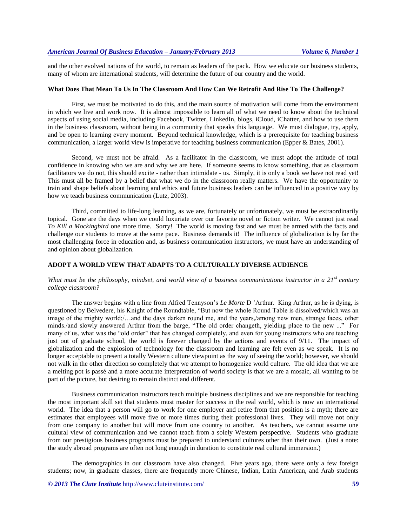and the other evolved nations of the world, to remain as leaders of the pack. How we educate our business students, many of whom are international students, will determine the future of our country and the world.

#### **What Does That Mean To Us In The Classroom And How Can We Retrofit And Rise To The Challenge?**

First, we must be motivated to do this, and the main source of motivation will come from the environment in which we live and work now. It is almost impossible to learn all of what we need to know about the technical aspects of using social media, including Facebook, Twitter, LinkedIn, blogs, iCloud, iChatter, and how to use them in the business classroom, without being in a community that speaks this language. We must dialogue, try, apply, and be open to learning every moment. Beyond technical knowledge, which is a prerequisite for teaching business communication, a larger world view is imperative for teaching business communication (Epper & Bates, 2001).

Second, we must not be afraid. As a facilitator in the classroom, we must adopt the attitude of total confidence in knowing who we are and why we are here. If someone seems to know something, that as classroom facilitators we do not, this should excite - rather than intimidate - us. Simply, it is only a book we have not read yet! This must all be framed by a belief that what we do in the classroom really matters. We have the opportunity to train and shape beliefs about learning and ethics and future business leaders can be influenced in a positive way by how we teach business communication (Lutz, 2003).

Third, committed to life-long learning, as we are, fortunately or unfortunately, we must be extraordinarily topical. Gone are the days when we could luxuriate over our favorite novel or fiction writer. We cannot just read *To Kill a Mockingbird* one more time. Sorry! The world is moving fast and we must be armed with the facts and challenge our students to move at the same pace. Business demands it! The influence of globalization is by far the most challenging force in education and, as business communication instructors, we must have an understanding of and opinion about globalization.

## **ADOPT A WORLD VIEW THAT ADAPTS TO A CULTURALLY DIVERSE AUDIENCE**

# *What must be the philosophy, mindset, and world view of a business communications instructor in a 21st century college classroom?*

The answer begins with a line from Alfred Tennyson's *Le Morte* D 'Arthur. King Arthur, as he is dying, is questioned by Belvedere, his Knight of the Roundtable, "But now the whole Round Table is dissolved/which was an image of the mighty world;/…and the days darken round me, and the years,/among new men, strange faces, other minds./and slowly answered Arthur from the barge, "The old order changeth, yielding place to the new ..." For many of us, what was the "old order" that has changed completely, and even for young instructors who are teaching just out of graduate school, the world is forever changed by the actions and events of 9/11. The impact of globalization and the explosion of technology for the classroom and learning are felt even as we speak. It is no longer acceptable to present a totally Western culture viewpoint as the way of seeing the world; however, we should not walk in the other direction so completely that we attempt to homogenize world culture. The old idea that we are a melting pot is passé and a more accurate interpretation of world society is that we are a mosaic, all wanting to be part of the picture, but desiring to remain distinct and different.

Business communication instructors teach multiple business disciplines and we are responsible for teaching the most important skill set that students must master for success in the real world, which is now an international world. The idea that a person will go to work for one employer and retire from that position is a myth; there are estimates that employees will move five or more times during their professional lives. They will move not only from one company to another but will move from one country to another. As teachers, we cannot assume one cultural view of communication and we cannot teach from a solely Western perspective. Students who graduate from our prestigious business programs must be prepared to understand cultures other than their own. (Just a note: the study abroad programs are often not long enough in duration to constitute real cultural immersion.)

The demographics in our classroom have also changed. Five years ago, there were only a few foreign students; now, in graduate classes, there are frequently more Chinese, Indian, Latin American, and Arab students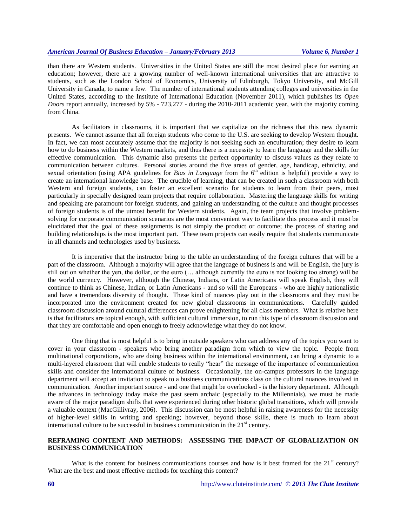than there are Western students. Universities in the United States are still the most desired place for earning an education; however, there are a growing number of well-known international universities that are attractive to students, such as the London School of Economics, University of Edinburgh, Tokyo University, and McGill University in Canada, to name a few. The number of international students attending colleges and universities in the United States, according to the Institute of International Education (November 2011), which publishes its *Open Doors* report annually, increased by 5% - 723,277 - during the 2010-2011 academic year, with the majority coming from China.

As facilitators in classrooms, it is important that we capitalize on the richness that this new dynamic presents. We cannot assume that all foreign students who come to the U.S. are seeking to develop Western thought. In fact, we can most accurately assume that the majority is not seeking such an enculturation; they desire to learn how to do business within the Western markets, and thus there is a necessity to learn the language and the skills for effective communication. This dynamic also presents the perfect opportunity to discuss values as they relate to communication between cultures. Personal stories around the five areas of gender, age, handicap, ethnicity, and sexual orientation (using APA guidelines for *Bias in Language* from the 6<sup>th</sup> edition is helpful) provide a way to create an international knowledge base. The crucible of learning, that can be created in such a classroom with both Western and foreign students, can foster an excellent scenario for students to learn from their peers, most particularly in specially designed team projects that require collaboration. Mastering the language skills for writing and speaking are paramount for foreign students, and gaining an understanding of the culture and thought processes of foreign students is of the utmost benefit for Western students. Again, the team projects that involve problemsolving for corporate communication scenarios are the most convenient way to facilitate this process and it must be elucidated that the goal of these assignments is not simply the product or outcome; the process of sharing and building relationships is the most important part. These team projects can easily require that students communicate in all channels and technologies used by business.

It is imperative that the instructor bring to the table an understanding of the foreign cultures that will be a part of the classroom. Although a majority will agree that the language of business is and will be English, the jury is still out on whether the yen, the dollar, or the euro (… although currently the euro is not looking too strong) will be the world currency. However, although the Chinese, Indians, or Latin Americans will speak English, they will continue to think as Chinese, Indian, or Latin Americans - and so will the Europeans - who are highly nationalistic and have a tremendous diversity of thought. These kind of nuances play out in the classrooms and they must be incorporated into the environment created for new global classrooms in communications. Carefully guided classroom discussion around cultural differences can prove enlightening for all class members. What is relative here is that facilitators are topical enough, with sufficient cultural immersion, to run this type of classroom discussion and that they are comfortable and open enough to freely acknowledge what they do not know.

One thing that is most helpful is to bring in outside speakers who can address any of the topics you want to cover in your classroom - speakers who bring another paradigm from which to view the topic. People from multinational corporations, who are doing business within the international environment, can bring a dynamic to a multi-layered classroom that will enable students to really "hear" the message of the importance of communication skills and consider the international culture of business. Occasionally, the on-campus professors in the language department will accept an invitation to speak to a business communications class on the cultural nuances involved in communication. Another important source - and one that might be overlooked - is the history department. Although the advances in technology today make the past seem archaic (especially to the Millennials), we must be made aware of the major paradigm shifts that were experienced during other historic global transitions, which will provide a valuable context (MacGillivray, 2006). This discussion can be most helpful in raising awareness for the necessity of higher-level skills in writing and speaking; however, beyond those skills, there is much to learn about international culture to be successful in business communication in the  $21<sup>st</sup>$  century.

# **REFRAMING CONTENT AND METHODS: ASSESSING THE IMPACT OF GLOBALIZATION ON BUSINESS COMMUNICATION**

What is the content for business communications courses and how is it best framed for the  $21<sup>st</sup>$  century? What are the best and most effective methods for teaching this content?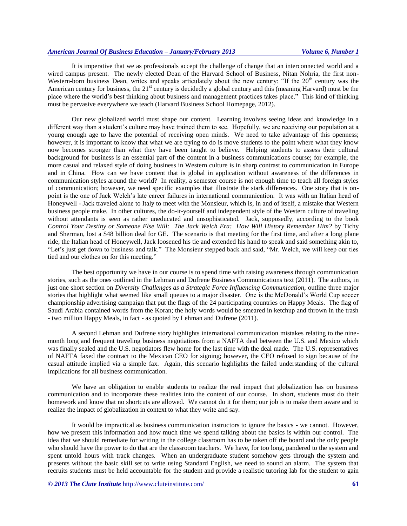It is imperative that we as professionals accept the challenge of change that an interconnected world and a wired campus present. The newly elected Dean of the Harvard School of Business, Nitan Nohria, the first non-Western-born business Dean, writes and speaks articulately about the new century: "If the 20<sup>th</sup> century was the American century for business, the 21<sup>st</sup> century is decidedly a global century and this (meaning Harvard) must be the place where the world's best thinking about business and management practices takes place." This kind of thinking must be pervasive everywhere we teach (Harvard Business School Homepage, 2012).

Our new globalized world must shape our content. Learning involves seeing ideas and knowledge in a different way than a student's culture may have trained them to see. Hopefully, we are receiving our population at a young enough age to have the potential of receiving open minds. We need to take advantage of this openness; however, it is important to know that what we are trying to do is move students to the point where what they know now becomes stronger than what they have been taught to believe. Helping students to assess their cultural background for business is an essential part of the content in a business communications course; for example, the more casual and relaxed style of doing business in Western culture is in sharp contrast to communication in Europe and in China. How can we have content that is global in application without awareness of the differences in communication styles around the world? In reality, a semester course is not enough time to teach all foreign styles of communication; however, we need specific examples that illustrate the stark differences. One story that is onpoint is the one of Jack Welch's late career failures in international communication. It was with an Italian head of Honeywell - Jack traveled alone to Italy to meet with the Monsieur, which is, in and of itself, a mistake that Western business people make. In other cultures, the do-it-yourself and independent style of the Western culture of traveling without attendants is seen as rather uneducated and unsophisticated. Jack, supposedly, according to the book *Control Your Destiny or Someone Else Will: The Jack Welch Era: How Will History Remember Him?* by Tichy and Sherman, lost a \$48 billion deal for GE. The scenario is that meeting for the first time, and after a long plane ride, the Italian head of Honeywell, Jack loosened his tie and extended his hand to speak and said something akin to, "Let's just get down to business and talk." The Monsieur stepped back and said, "Mr. Welch, we will keep our ties tied and our clothes on for this meeting."

The best opportunity we have in our course is to spend time with raising awareness through communication stories, such as the ones outlined in the Lehman and Dufrene Business Communications text (2011). The authors, in just one short section on *Diversity Challenges as a Strategic Force Influencing Communication,* outline three major stories that highlight what seemed like small queues to a major disaster. One is the McDonald's World Cup soccer championship advertising campaign that put the flags of the 24 participating countries on Happy Meals. The flag of Saudi Arabia contained words from the Koran; the holy words would be smeared in ketchup and thrown in the trash - two million Happy Meals, in fact - as quoted by Lehman and Dufrene (2011).

A second Lehman and Dufrene story highlights international communication mistakes relating to the ninemonth long and frequent traveling business negotiations from a NAFTA deal between the U.S. and Mexico which was finally sealed and the U.S. negotiators flew home for the last time with the deal made. The U.S. representatives of NAFTA faxed the contract to the Mexican CEO for signing; however, the CEO refused to sign because of the casual attitude implied via a simple fax. Again, this scenario highlights the failed understanding of the cultural implications for all business communication.

We have an obligation to enable students to realize the real impact that globalization has on business communication and to incorporate these realities into the content of our course. In short, students must do their homework and know that no shortcuts are allowed. We cannot do it for them; our job is to make them aware and to realize the impact of globalization in context to what they write and say.

It would be impractical as business communication instructors to ignore the basics - we cannot. However, how we present this information and how much time we spend talking about the basics is within our control. The idea that we should remediate for writing in the college classroom has to be taken off the board and the only people who should have the power to do that are the classroom teachers. We have, for too long, pandered to the system and spent untold hours with track changes. When an undergraduate student somehow gets through the system and presents without the basic skill set to write using Standard English, we need to sound an alarm. The system that recruits students must be held accountable for the student and provide a realistic tutoring lab for the student to gain

*© 2013 The Clute Institute* http://www.cluteinstitute.com/ **61**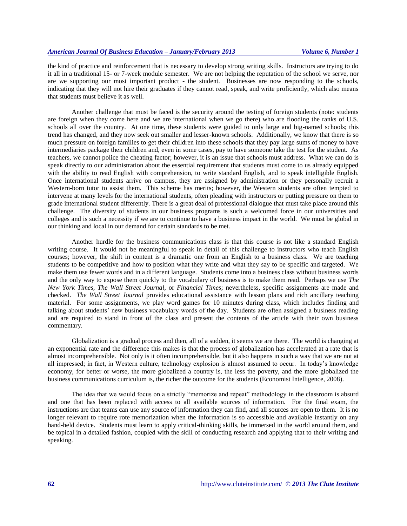the kind of practice and reinforcement that is necessary to develop strong writing skills. Instructors are trying to do it all in a traditional 15- or 7-week module semester. We are not helping the reputation of the school we serve, nor are we supporting our most important product - the student. Businesses are now responding to the schools, indicating that they will not hire their graduates if they cannot read, speak, and write proficiently, which also means that students must believe it as well.

Another challenge that must be faced is the security around the testing of foreign students (note: students are foreign when they come here and we are international when we go there) who are flooding the ranks of U.S. schools all over the country. At one time, these students were guided to only large and big-named schools; this trend has changed, and they now seek out smaller and lesser-known schools. Additionally, we know that there is so much pressure on foreign families to get their children into these schools that they pay large sums of money to have intermediaries package their children and, even in some cases, pay to have someone take the test for the student. As teachers, we cannot police the cheating factor; however, it is an issue that schools must address. What we can do is speak directly to our administration about the essential requirement that students must come to us already equipped with the ability to read English with comprehension, to write standard English, and to speak intelligible English. Once international students arrive on campus, they are assigned by administration or they personally recruit a Western-born tutor to assist them. This scheme has merits; however, the Western students are often tempted to intervene at many levels for the international students, often pleading with instructors or putting pressure on them to grade international student differently. There is a great deal of professional dialogue that must take place around this challenge. The diversity of students in our business programs is such a welcomed force in our universities and colleges and is such a necessity if we are to continue to have a business impact in the world. We must be global in our thinking and local in our demand for certain standards to be met.

Another hurdle for the business communications class is that this course is not like a standard English writing course. It would not be meaningful to speak in detail of this challenge to instructors who teach English courses; however, the shift in content is a dramatic one from an English to a business class. We are teaching students to be competitive and how to position what they write and what they say to be specific and targeted. We make them use fewer words and in a different language. Students come into a business class without business words and the only way to expose them quickly to the vocabulary of business is to make them read. Perhaps we use *The New York Times*, *The Wall Street Journal,* or *Financial Times*; nevertheless, specific assignments are made and checked. *The Wall Street Journal* provides educational assistance with lesson plans and rich ancillary teaching material. For some assignments, we play word games for 10 minutes during class, which includes finding and talking about students' new business vocabulary words of the day. Students are often assigned a business reading and are required to stand in front of the class and present the contents of the article with their own business commentary.

Globalization is a gradual process and then, all of a sudden, it seems we are there. The world is changing at an exponential rate and the difference this makes is that the process of globalization has accelerated at a rate that is almost incomprehensible. Not only is it often incomprehensible, but it also happens in such a way that we are not at all impressed; in fact, in Western culture, technology explosion is almost assumed to occur. In today's knowledge economy, for better or worse, the more globalized a country is, the less the poverty, and the more globalized the business communications curriculum is, the richer the outcome for the students (Economist Intelligence, 2008).

The idea that we would focus on a strictly "memorize and repeat" methodology in the classroom is absurd and one that has been replaced with access to all available sources of information. For the final exam, the instructions are that teams can use any source of information they can find, and all sources are open to them. It is no longer relevant to require rote memorization when the information is so accessible and available instantly on any hand-held device. Students must learn to apply critical-thinking skills, be immersed in the world around them, and be topical in a detailed fashion, coupled with the skill of conducting research and applying that to their writing and speaking.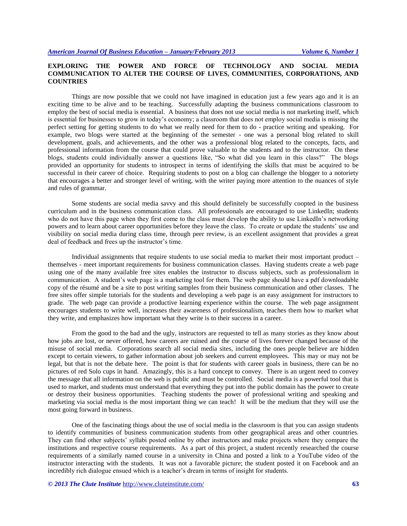# **EXPLORING THE POWER AND FORCE OF TECHNOLOGY AND SOCIAL MEDIA COMMUNICATION TO ALTER THE COURSE OF LIVES, COMMUNITIES, CORPORATIONS, AND COUNTRIES**

Things are now possible that we could not have imagined in education just a few years ago and it is an exciting time to be alive and to be teaching. Successfully adapting the business communications classroom to employ the best of social media is essential. A business that does not use social media is not marketing itself, which is essential for businesses to grow in today's economy; a classroom that does not employ social media is missing the perfect setting for getting students to do what we really need for them to do - practice writing and speaking. For example, two blogs were started at the beginning of the semester - one was a personal blog related to skill development, goals, and achievements, and the other was a professional blog related to the concepts, facts, and professional information from the course that could prove valuable to the students and to the instructor. On these blogs, students could individually answer a questions like, "So what did you learn in this class?" The blogs provided an opportunity for students to introspect in terms of identifying the skills that must be acquired to be successful in their career of choice. Requiring students to post on a blog can challenge the blogger to a notoriety that encourages a better and stronger level of writing, with the writer paying more attention to the nuances of style and rules of grammar.

Some students are social media savvy and this should definitely be successfully coopted in the business curriculum and in the business communication class. All professionals are encouraged to use LinkedIn; students who do not have this page when they first come to the class must develop the ability to use LinkedIn's networking powers and to learn about career opportunities before they leave the class. To create or update the students' use and visibility on social media during class time, through peer review, is an excellent assignment that provides a great deal of feedback and frees up the instructor's time.

Individual assignments that require students to use social media to market their most important product – themselves - meet important requirements for business communication classes. Having students create a web page using one of the many available free sites enables the instructor to discuss subjects, such as professionalism in communication. A student's web page is a marketing tool for them. The web page should have a pdf downloadable copy of the résumé and be a site to post writing samples from their business communication and other classes. The free sites offer simple tutorials for the students and developing a web page is an easy assignment for instructors to grade. The web page can provide a productive learning experience within the course. The web page assignment encourages students to write well, increases their awareness of professionalism, teaches them how to market what they write, and emphasizes how important what they write is to their success in a career.

From the good to the bad and the ugly, instructors are requested to tell as many stories as they know about how jobs are lost, or never offered, how careers are ruined and the course of lives forever changed because of the misuse of social media. Corporations search all social media sites, including the ones people believe are hidden except to certain viewers, to gather information about job seekers and current employees. This may or may not be legal, but that is not the debate here. The point is that for students with career goals in business, there can be no pictures of red Solo cups in hand. Amazingly, this is a hard concept to convey. There is an urgent need to convey the message that all information on the web is public and must be controlled. Social media is a powerful tool that is used to market, and students must understand that everything they put into the public domain has the power to create or destroy their business opportunities. Teaching students the power of professional writing and speaking and marketing via social media is the most important thing we can teach! It will be the medium that they will use the most going forward in business.

One of the fascinating things about the use of social media in the classroom is that you can assign students to identify communities of business communication students from other geographical areas and other countries. They can find other subjects' syllabi posted online by other instructors and make projects where they compare the institutions and respective course requirements. As a part of this project, a student recently researched the course requirements of a similarly named course in a university in China and posted a link to a YouTube video of the instructor interacting with the students. It was not a favorable picture; the student posted it on Facebook and an incredibly rich dialogue ensued which is a teacher's dream in terms of insight for students.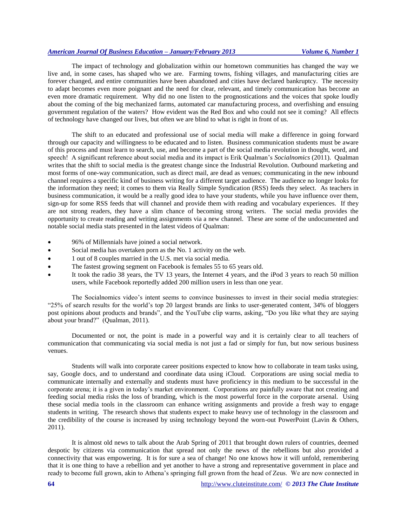# *American Journal Of Business Education – January/February 2013 Volume 6, Number 1*

The impact of technology and globalization within our hometown communities has changed the way we live and, in some cases, has shaped who we are. Farming towns, fishing villages, and manufacturing cities are forever changed, and entire communities have been abandoned and cities have declared bankruptcy. The necessity to adapt becomes even more poignant and the need for clear, relevant, and timely communication has become an even more dramatic requirement. Why did no one listen to the prognostications and the voices that spoke loudly about the coming of the big mechanized farms, automated car manufacturing process, and overfishing and ensuing government regulation of the waters? How evident was the Red Box and who could not see it coming? All effects of technology have changed our lives, but often we are blind to what is right in front of us.

The shift to an educated and professional use of social media will make a difference in going forward through our capacity and willingness to be educated and to listen. Business communication students must be aware of this process and must learn to search, use, and become a part of the social media revolution in thought, word, and speech! A significant reference about social media and its impact is Erik Qualman's *Socialnomics* (2011). Qualman writes that the shift to social media is the greatest change since the Industrial Revolution. Outbound marketing and most forms of one-way communication, such as direct mail, are dead as venues; communicating in the new inbound channel requires a specific kind of business writing for a different target audience. The audience no longer looks for the information they need; it comes to them via Really Simple Syndication (RSS) feeds they select. As teachers in business communication, it would be a really good idea to have your students, while you have influence over them, sign-up for some RSS feeds that will channel and provide them with reading and vocabulary experiences. If they are not strong readers, they have a slim chance of becoming strong writers. The social media provides the opportunity to create reading and writing assignments via a new channel. These are some of the undocumented and notable social media stats presented in the latest videos of Qualman:

- 96% of Millennials have joined a social network.
- Social media has overtaken porn as the No. 1 activity on the web.
- 1 out of 8 couples married in the U.S. met via social media.
- The fastest growing segment on Facebook is females 55 to 65 years old.
- It took the radio 38 years, the TV 13 years, the Internet 4 years, and the iPod 3 years to reach 50 million users, while Facebook reportedly added 200 million users in less than one year.

The Socialnomics video's intent seems to convince businesses to invest in their social media strategies: "25% of search results for the world's top 20 largest brands are links to user-generated content, 34% of bloggers post opinions about products and brands", and the YouTube clip warns, asking, "Do you like what they are saying about your brand?" (Qualman, 2011).

Documented or not, the point is made in a powerful way and it is certainly clear to all teachers of communication that communicating via social media is not just a fad or simply for fun, but now serious business venues.

Students will walk into corporate career positions expected to know how to collaborate in team tasks using, say, Google docs, and to understand and coordinate data using iCloud. Corporations are using social media to communicate internally and externally and students must have proficiency in this medium to be successful in the corporate arena; it is a given in today's market environment. Corporations are painfully aware that not creating and feeding social media risks the loss of branding, which is the most powerful force in the corporate arsenal. Using these social media tools in the classroom can enhance writing assignments and provide a fresh way to engage students in writing. The research shows that students expect to make heavy use of technology in the classroom and the credibility of the course is increased by using technology beyond the worn-out PowerPoint (Lavin & Others, 2011).

It is almost old news to talk about the Arab Spring of 2011 that brought down rulers of countries, deemed despotic by citizens via communication that spread not only the news of the rebellions but also provided a connectivity that was empowering. It is for sure a sea of change! No one knows how it will unfold, remembering that it is one thing to have a rebellion and yet another to have a strong and representative government in place and ready to become full grown, akin to Athena's springing full grown from the head of Zeus. We are now connected in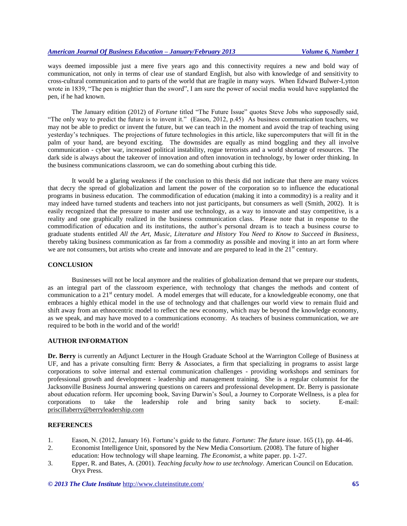ways deemed impossible just a mere five years ago and this connectivity requires a new and bold way of communication, not only in terms of clear use of standard English, but also with knowledge of and sensitivity to cross-cultural communication and to parts of the world that are fragile in many ways. When Edward Bulwer-Lytton wrote in 1839, "The pen is mightier than the sword", I am sure the power of social media would have supplanted the pen, if he had known.

The January edition (2012) of *Fortune* titled "The Future Issue" quotes Steve Jobs who supposedly said, "The only way to predict the future is to invent it." (Eason, 2012, p.45) As business communication teachers, we may not be able to predict or invent the future, but we can teach in the moment and avoid the trap of teaching using yesterday's techniques. The projections of future technologies in this article, like supercomputers that will fit in the palm of your hand, are beyond exciting. The downsides are equally as mind boggling and they all involve communication - cyber war, increased political instability, rogue terrorists and a world shortage of resources. The dark side is always about the takeover of innovation and often innovation in technology, by lower order thinking. In the business communications classroom, we can do something about curbing this tide.

It would be a glaring weakness if the conclusion to this thesis did not indicate that there are many voices that decry the spread of globalization and lament the power of the corporation so to influence the educational programs in business education. The commodification of education (making it into a commodity) is a reality and it may indeed have turned students and teachers into not just participants, but consumers as well (Smith, 2002). It is easily recognized that the pressure to master and use technology, as a way to innovate and stay competitive, is a reality and one graphically realized in the business communication class. Please note that in response to the commodification of education and its institutions, the author's personal dream is to teach a business course to graduate students entitled *All the Art, Music, Literature and History You Need to Know to Succeed in Business*, thereby taking business communication as far from a commodity as possible and moving it into an art form where we are not consumers, but artists who create and innovate and are prepared to lead in the  $21<sup>st</sup>$  century.

## **CONCLUSION**

Businesses will not be local anymore and the realities of globalization demand that we prepare our students, as an integral part of the classroom experience, with technology that changes the methods and content of communication to a  $21<sup>st</sup>$  century model. A model emerges that will educate, for a knowledgeable economy, one that embraces a highly ethical model in the use of technology and that challenges our world view to remain fluid and shift away from an ethnocentric model to reflect the new economy, which may be beyond the knowledge economy, as we speak, and may have moved to a communications economy. As teachers of business communication, we are required to be both in the world and of the world!

# **AUTHOR INFORMATION**

**Dr. Berry** is currently an Adjunct Lecturer in the Hough Graduate School at the Warrington College of Business at UF, and has a private consulting firm: Berry  $\&$  Associates, a firm that specializing in programs to assist large corporations to solve internal and external communication challenges - providing workshops and seminars for professional growth and development - leadership and management training. She is a regular columnist for the Jacksonville Business Journal answering questions on careers and professional development. Dr. Berry is passionate about education reform. Her upcoming book, Saving Darwin's Soul, a Journey to Corporate Wellness, is a plea for corporations to take the leadership role and bring sanity back to society. E-mail: [priscillaberry@berryleadership.com](mailto:priscillaberry@berryleadership.com)

## **REFERENCES**

- 1. Eason, N. (2012, January 16). Fortune's guide to the future. *Fortune: The future issue*. 165 (1), pp. 44-46.
- 2. Economist Intelligence Unit, sponsored by the New Media Consortium. (2008). The future of higher education: How technology will shape learning*. The Economist*, a white paper. pp. 1-27.
- 3. Epper, R. and Bates, A. (2001). *Teaching faculty how to use technology*. American Council on Education. Oryx Press.